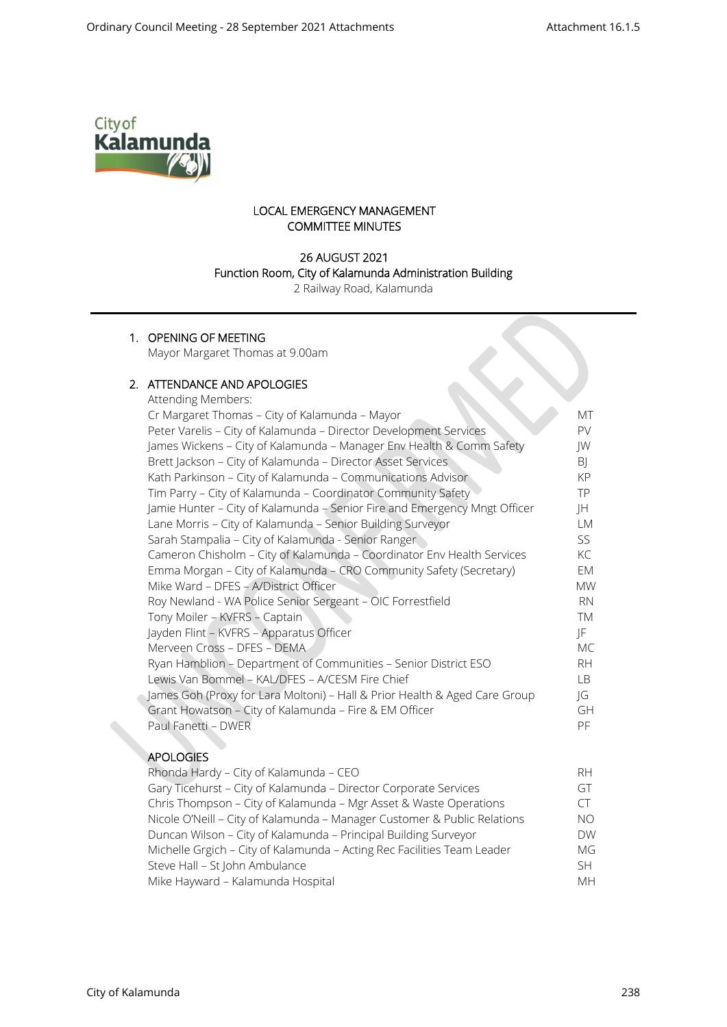$\infty$ 



# LOCAL EMERGENCY MANAGEMENT COMMITTEE MINUTES

# 26 AUGUST 2021 Function Room, City of Kalamunda Administration Building

2 Railway Road, Kalamunda

# 1. OPENING OF MEETING

Mayor Margaret Thomas at 9.00am

#### 2. ATTENDANCE AND APOLOGIES  $A$ ttending Me

| Attending Members:                                                         |           |
|----------------------------------------------------------------------------|-----------|
| Cr Margaret Thomas - City of Kalamunda - Mayor                             | МT        |
| Peter Varelis - City of Kalamunda - Director Development Services          | PV.       |
| James Wickens - City of Kalamunda - Manager Env Health & Comm Safety       | JW        |
| Brett Jackson - City of Kalamunda - Director Asset Services                | BJ        |
| Kath Parkinson - City of Kalamunda - Communications Advisor                | KP        |
| Tim Parry - City of Kalamunda - Coordinator Community Safety               | TP.       |
| Jamie Hunter - City of Kalamunda - Senior Fire and Emergency Mngt Officer  | JH        |
| Lane Morris - City of Kalamunda - Senior Building Surveyor                 | LM        |
| Sarah Stampalia - City of Kalamunda - Senior Ranger                        | SS        |
| Cameron Chisholm - City of Kalamunda - Coordinator Env Health Services     | KC        |
| Emma Morgan - City of Kalamunda - CRO Community Safety (Secretary)         | EM        |
| Mike Ward - DFES - A/District Officer                                      | <b>MW</b> |
| Roy Newland - WA Police Senior Sergeant - OIC Forrestfield                 | <b>RN</b> |
| Tony Moiler - KVFRS - Captain                                              | TM        |
| Jayden Flint - KVFRS - Apparatus Officer                                   | JF        |
| Merveen Cross - DFES - DEMA                                                | МC        |
| Ryan Hamblion - Department of Communities - Senior District ESO            | RH.       |
| Lewis Van Bommel - KAL/DFES - A/CESM Fire Chief                            | LB        |
| James Goh (Proxy for Lara Moltoni) - Hall & Prior Health & Aged Care Group | JG        |
| Grant Howatson - City of Kalamunda - Fire & EM Officer                     | GH        |
| Paul Fanetti - DWER                                                        | PF        |
|                                                                            |           |

# APOLOGIES

| Rhonda Hardy - City of Kalamunda - CEO                                   | RH.       |
|--------------------------------------------------------------------------|-----------|
| Gary Ticehurst - City of Kalamunda - Director Corporate Services         | GT        |
| Chris Thompson - City of Kalamunda - Mgr Asset & Waste Operations        | CT.       |
| Nicole O'Neill - City of Kalamunda - Manager Customer & Public Relations | NO.       |
| Duncan Wilson - City of Kalamunda - Principal Building Surveyor          | <b>DW</b> |
| Michelle Grgich - City of Kalamunda - Acting Rec Facilities Team Leader  | МG        |
| Steve Hall - St John Ambulance                                           | SH.       |
| Mike Hayward - Kalamunda Hospital                                        | MH.       |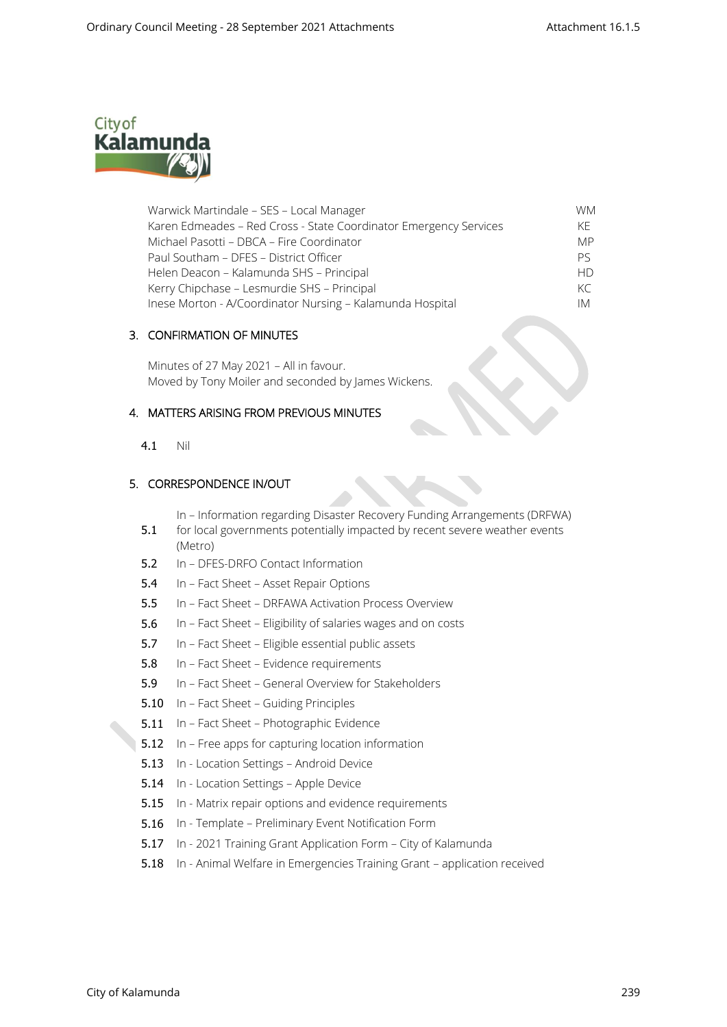

| Warwick Martindale - SES - Local Manager                          | WM.       |
|-------------------------------------------------------------------|-----------|
| Karen Edmeades - Red Cross - State Coordinator Emergency Services | KF.       |
| Michael Pasotti - DBCA - Fire Coordinator                         | <b>MP</b> |
| Paul Southam - DFES - District Officer                            | Pς        |
| Helen Deacon – Kalamunda SHS – Principal                          | <b>HD</b> |
| Kerry Chipchase - Lesmurdie SHS - Principal                       | KC        |
| Inese Morton - A/Coordinator Nursing - Kalamunda Hospital         | IМ        |

### 3. CONFIRMATION OF MINUTES

Minutes of 27 May 2021 – All in favour. Moved by Tony Moiler and seconded by James Wickens.

# 4. MATTERS ARISING FROM PREVIOUS MINUTES

4.1 Nil

### 5. CORRESPONDENCE IN/OUT

In – Information regarding Disaster Recovery Funding Arrangements (DRFWA)

- 5.1 for local governments potentially impacted by recent severe weather events (Metro)
- 5.2 In DFES-DRFO Contact Information
- 5.4 In Fact Sheet Asset Repair Options
- 5.5 In Fact Sheet DRFAWA Activation Process Overview
- 5.6 In Fact Sheet Eligibility of salaries wages and on costs
- 5.7 In Fact Sheet Eligible essential public assets
- 5.8 In Fact Sheet Evidence requirements
- 5.9 In Fact Sheet General Overview for Stakeholders
- 5.10 In Fact Sheet Guiding Principles
- 5.11 In Fact Sheet Photographic Evidence
- 5.12 In Free apps for capturing location information
- 5.13 In Location Settings Android Device
- 5.14 In Location Settings Apple Device
- 5.15 In Matrix repair options and evidence requirements
- 5.16 In Template Preliminary Event Notification Form
- 5.17 In 2021 Training Grant Application Form City of Kalamunda
- 5.18 In Animal Welfare in Emergencies Training Grant application received